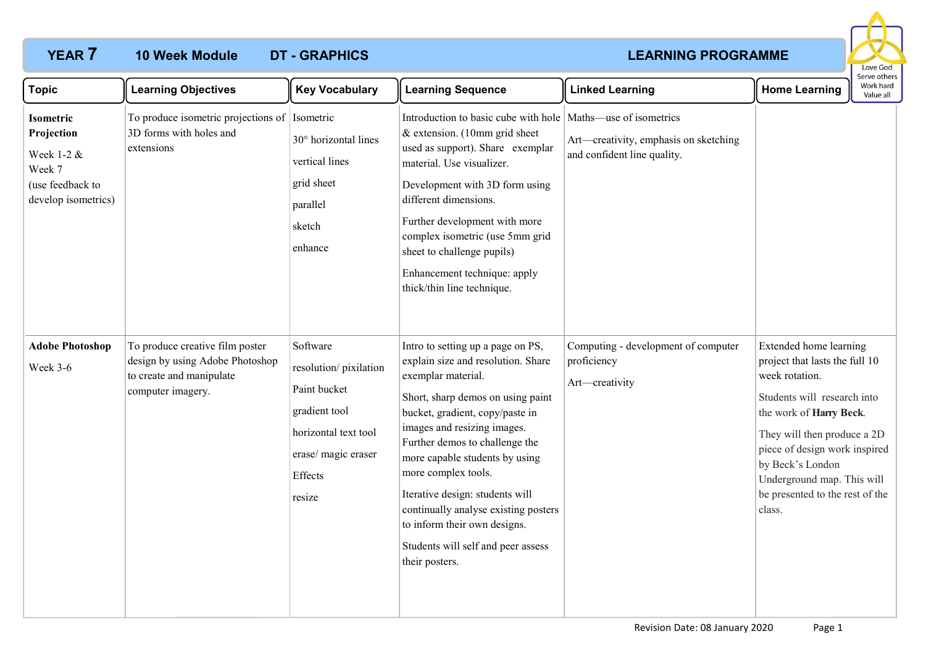## **10 Week Module**

# **YEAR 7 LEARNING PROGRAMME**



| <b>Topic</b>                                                                               | <b>Learning Objectives</b>                                                                                          | <b>Key Vocabulary</b>                                                                                                                  | <b>Learning Sequence</b>                                                                                                                                                                                                                                                                                                                                                                                                                                           | <b>Linked Learning</b>                                               | <b>Home Learning</b>                                                                                                                                                                                                                                                                                | Serve others<br>Work hard<br>Value all |
|--------------------------------------------------------------------------------------------|---------------------------------------------------------------------------------------------------------------------|----------------------------------------------------------------------------------------------------------------------------------------|--------------------------------------------------------------------------------------------------------------------------------------------------------------------------------------------------------------------------------------------------------------------------------------------------------------------------------------------------------------------------------------------------------------------------------------------------------------------|----------------------------------------------------------------------|-----------------------------------------------------------------------------------------------------------------------------------------------------------------------------------------------------------------------------------------------------------------------------------------------------|----------------------------------------|
| Isometric<br>Projection<br>Week 1-2 &<br>Week 7<br>(use feedback to<br>develop isometrics) | To produce isometric projections of Isometric<br>3D forms with holes and<br>extensions                              | 30° horizontal lines<br>vertical lines<br>grid sheet<br>parallel<br>sketch<br>enhance                                                  | Introduction to basic cube with hole   Maths—use of isometrics<br>& extension. (10mm grid sheet<br>used as support). Share exemplar<br>material. Use visualizer.<br>Development with 3D form using<br>different dimensions.<br>Further development with more<br>complex isometric (use 5mm grid<br>sheet to challenge pupils)<br>Enhancement technique: apply<br>thick/thin line technique.                                                                        | Art—creativity, emphasis on sketching<br>and confident line quality. |                                                                                                                                                                                                                                                                                                     |                                        |
| <b>Adobe Photoshop</b><br>Week 3-6                                                         | To produce creative film poster<br>design by using Adobe Photoshop<br>to create and manipulate<br>computer imagery. | Software<br>resolution/pixilation<br>Paint bucket<br>gradient tool<br>horizontal text tool<br>erase/ magic eraser<br>Effects<br>resize | Intro to setting up a page on PS,<br>explain size and resolution. Share<br>exemplar material.<br>Short, sharp demos on using paint<br>bucket, gradient, copy/paste in<br>images and resizing images.<br>Further demos to challenge the<br>more capable students by using<br>more complex tools.<br>Iterative design: students will<br>continually analyse existing posters<br>to inform their own designs.<br>Students will self and peer assess<br>their posters. | Computing - development of computer<br>proficiency<br>Art-creativity | Extended home learning<br>project that lasts the full 10<br>week rotation.<br>Students will research into<br>the work of Harry Beck.<br>They will then produce a 2D<br>piece of design work inspired<br>by Beck's London<br>Underground map. This will<br>be presented to the rest of the<br>class. |                                        |